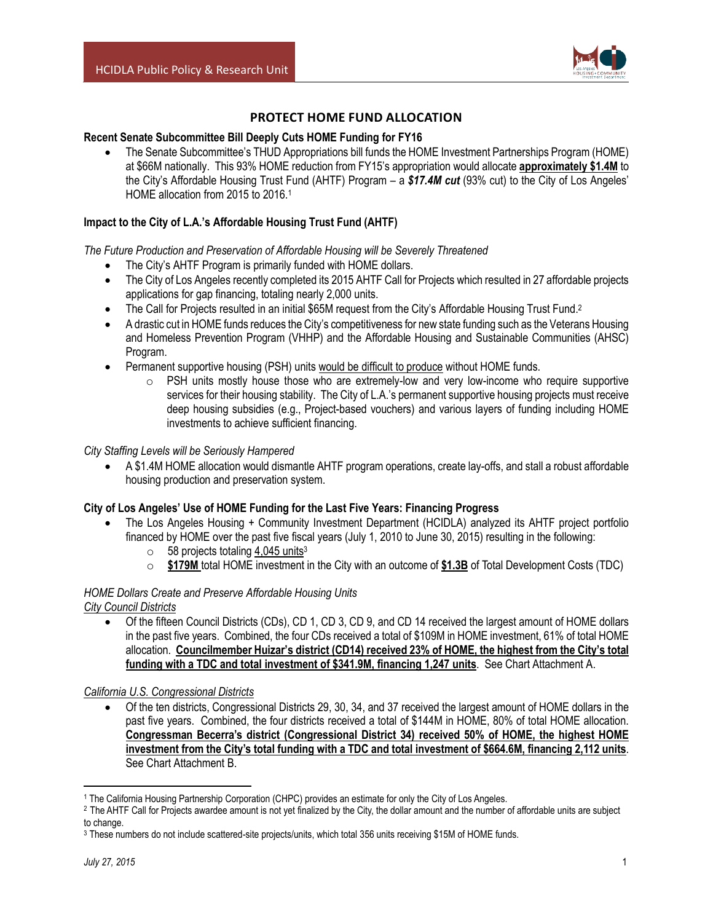

# **PROTECT HOME FUND ALLOCATION**

#### **Recent Senate Subcommittee Bill Deeply Cuts HOME Funding for FY16**

 The Senate Subcommittee's THUD Appropriations bill funds the HOME Investment Partnerships Program (HOME) at \$66M nationally. This 93% HOME reduction from FY15's appropriation would allocate **approximately \$1.4M** to the City's Affordable Housing Trust Fund (AHTF) Program – a *\$17.4M cut* (93% cut) to the City of Los Angeles' HOME allocation from 2015 to 2016.<sup>1</sup>

### **Impact to the City of L.A.'s Affordable Housing Trust Fund (AHTF)**

*The Future Production and Preservation of Affordable Housing will be Severely Threatened* 

- The City's AHTF Program is primarily funded with HOME dollars.
- The City of Los Angeles recently completed its 2015 AHTF Call for Projects which resulted in 27 affordable projects applications for gap financing, totaling nearly 2,000 units.
- The Call for Projects resulted in an initial \$65M request from the City's Affordable Housing Trust Fund.<sup>2</sup>
- A drastic cut in HOME funds reduces the City's competitiveness for new state funding such as the Veterans Housing and Homeless Prevention Program (VHHP) and the Affordable Housing and Sustainable Communities (AHSC) Program.
- Permanent supportive housing (PSH) units would be difficult to produce without HOME funds.
	- $\circ$  PSH units mostly house those who are extremely-low and very low-income who require supportive services for their housing stability. The City of L.A.'s permanent supportive housing projects must receive deep housing subsidies (e.g., Project-based vouchers) and various layers of funding including HOME investments to achieve sufficient financing.

#### *City Staffing Levels will be Seriously Hampered*

 A \$1.4M HOME allocation would dismantle AHTF program operations, create lay-offs, and stall a robust affordable housing production and preservation system.

# **City of Los Angeles' Use of HOME Funding for the Last Five Years: Financing Progress**

- The Los Angeles Housing + Community Investment Department (HCIDLA) analyzed its AHTF project portfolio financed by HOME over the past five fiscal years (July 1, 2010 to June 30, 2015) resulting in the following:
	- $\circ$  58 projects totaling  $4,045$  units<sup>3</sup>
	- o **\$179M** total HOME investment in the City with an outcome of **\$1.3B** of Total Development Costs (TDC)

#### *HOME Dollars Create and Preserve Affordable Housing Units City Council Districts*

 Of the fifteen Council Districts (CDs), CD 1, CD 3, CD 9, and CD 14 received the largest amount of HOME dollars in the past five years. Combined, the four CDs received a total of \$109M in HOME investment, 61% of total HOME allocation. **Councilmember Huizar's district (CD14) received 23% of HOME, the highest from the City's total funding with a TDC and total investment of \$341.9M, financing 1,247 units**. See Chart Attachment A.

#### *California U.S. Congressional Districts*

 Of the ten districts, Congressional Districts 29, 30, 34, and 37 received the largest amount of HOME dollars in the past five years. Combined, the four districts received a total of \$144M in HOME, 80% of total HOME allocation. **Congressman Becerra's district (Congressional District 34) received 50% of HOME, the highest HOME investment from the City's total funding with a TDC and total investment of \$664.6M, financing 2,112 units**. See Chart Attachment B.

l

<sup>1</sup> The California Housing Partnership Corporation (CHPC) provides an estimate for only the City of Los Angeles.

<sup>&</sup>lt;sup>2</sup> The AHTF Call for Projects awardee amount is not yet finalized by the City, the dollar amount and the number of affordable units are subject to change.

<sup>3</sup> These numbers do not include scattered-site projects/units, which total 356 units receiving \$15M of HOME funds.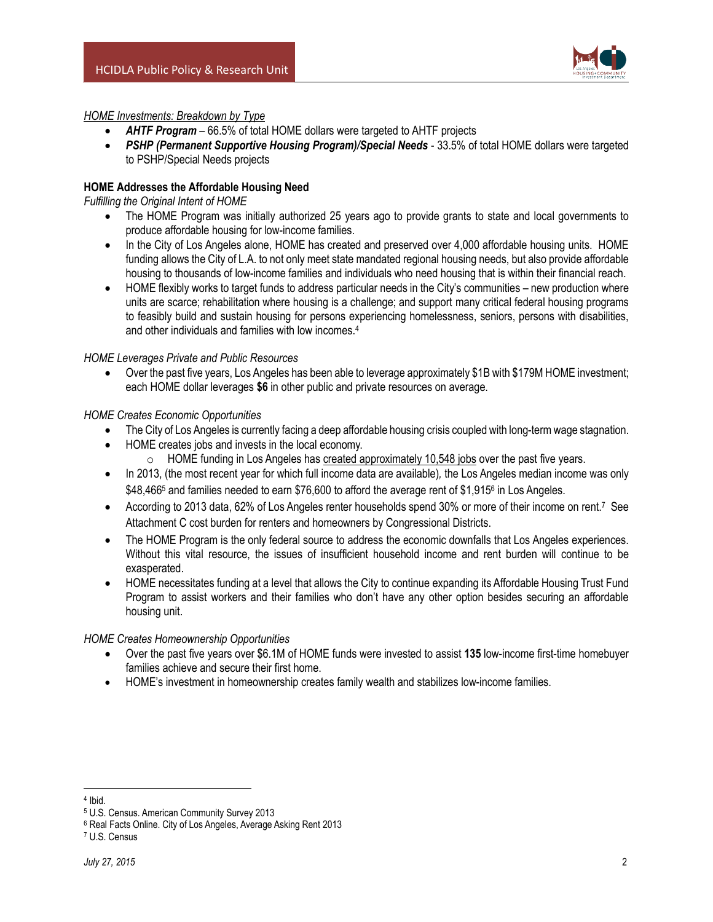

#### *HOME Investments: Breakdown by Type*

- *AHTF Program* 66.5% of total HOME dollars were targeted to AHTF projects
- *PSHP (Permanent Supportive Housing Program)/Special Needs* 33.5% of total HOME dollars were targeted to PSHP/Special Needs projects

# **HOME Addresses the Affordable Housing Need**

*Fulfilling the Original Intent of HOME* 

- The HOME Program was initially authorized 25 years ago to provide grants to state and local governments to produce affordable housing for low-income families.
- In the City of Los Angeles alone, HOME has created and preserved over 4,000 affordable housing units. HOME funding allows the City of L.A. to not only meet state mandated regional housing needs, but also provide affordable housing to thousands of low-income families and individuals who need housing that is within their financial reach.
- HOME flexibly works to target funds to address particular needs in the City's communities new production where units are scarce; rehabilitation where housing is a challenge; and support many critical federal housing programs to feasibly build and sustain housing for persons experiencing homelessness, seniors, persons with disabilities, and other individuals and families with low incomes.<sup>4</sup>

#### *HOME Leverages Private and Public Resources*

 Over the past five years, Los Angeles has been able to leverage approximately \$1B with \$179M HOME investment; each HOME dollar leverages **\$6** in other public and private resources on average.

#### *HOME Creates Economic Opportunities*

- The City of Los Angeles is currently facing a deep affordable housing crisis coupled with long-term wage stagnation.
- HOME creates jobs and invests in the local economy.
	- $\circ$  HOME funding in Los Angeles has created approximately 10,548 jobs over the past five years.
- In 2013, (the most recent year for which full income data are available)*,* the Los Angeles median income was only \$48,4665 and families needed to earn \$76,600 to afford the average rent of \$1,9156 in Los Angeles.
- According to 2013 data, 62% of Los Angeles renter households spend 30% or more of their income on rent.<sup>7</sup> See Attachment C cost burden for renters and homeowners by Congressional Districts.
- The HOME Program is the only federal source to address the economic downfalls that Los Angeles experiences. Without this vital resource, the issues of insufficient household income and rent burden will continue to be exasperated.
- HOME necessitates funding at a level that allows the City to continue expanding its Affordable Housing Trust Fund Program to assist workers and their families who don't have any other option besides securing an affordable housing unit.

#### *HOME Creates Homeownership Opportunities*

- Over the past five years over \$6.1M of HOME funds were invested to assist **135** low-income first-time homebuyer families achieve and secure their first home.
- HOME's investment in homeownership creates family wealth and stabilizes low-income families.

 $\overline{\phantom{a}}$ 

<sup>7</sup> U.S. Census

<sup>4</sup> Ibid.

<sup>5</sup> U.S. Census. American Community Survey 2013

<sup>6</sup> Real Facts Online. City of Los Angeles, Average Asking Rent 2013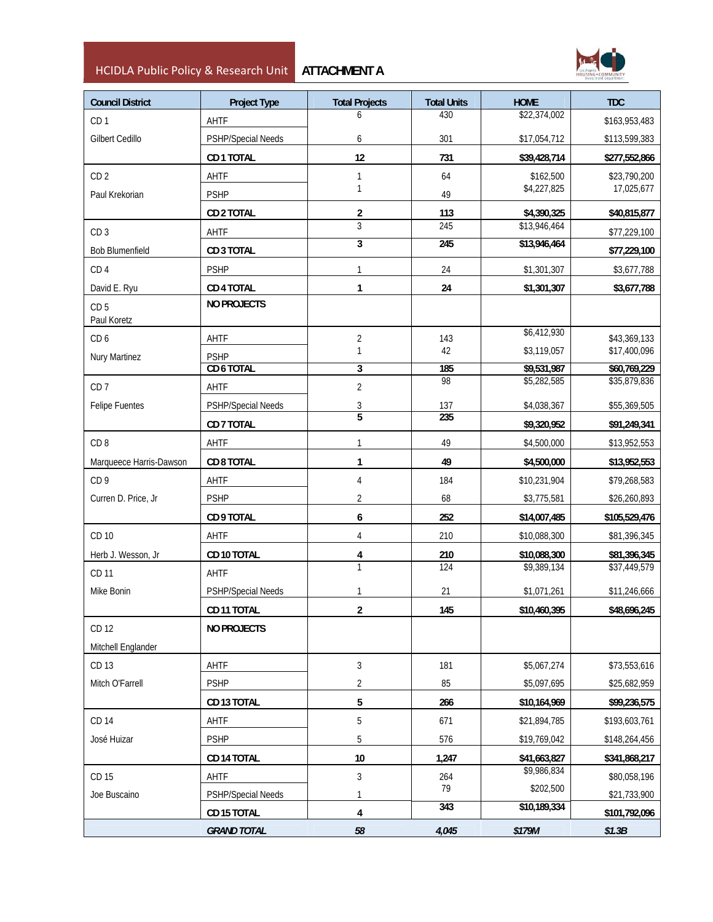HCIDLA Public Policy & Research Unit **ATTACHMENT A** 



| <b>Council District</b>        | <b>Project Type</b>       | <b>Total Projects</b> | <b>Total Units</b> | <b>HOME</b>  | <b>TDC</b>    |
|--------------------------------|---------------------------|-----------------------|--------------------|--------------|---------------|
| CD <sub>1</sub>                | AHTF                      | 6                     | 430                | \$22,374,002 | \$163,953,483 |
| Gilbert Cedillo                | PSHP/Special Needs        | 6                     | 301                | \$17,054,712 | \$113,599,383 |
|                                | CD 1 TOTAL                | 12                    | 731                | \$39,428,714 | \$277,552,866 |
| CD <sub>2</sub>                | AHTF                      | 1                     | 64                 | \$162,500    | \$23,790,200  |
| Paul Krekorian                 | <b>PSHP</b>               | 1                     | 49                 | \$4,227,825  | 17,025,677    |
|                                | <b>CD 2 TOTAL</b>         | $\overline{2}$        | 113                | \$4,390,325  | \$40,815,877  |
| CD <sub>3</sub>                | AHTF                      | 3                     | 245                | \$13,946,464 | \$77,229,100  |
| <b>Bob Blumenfield</b>         | CD 3 TOTAL                | $\overline{3}$        | 245                | \$13,946,464 | \$77,229,100  |
| CD <sub>4</sub>                | <b>PSHP</b>               | 1                     | 24                 | \$1,301,307  | \$3,677,788   |
| David E. Ryu                   | <b>CD 4 TOTAL</b>         | 1                     | 24                 | \$1,301,307  | \$3,677,788   |
| CD <sub>5</sub><br>Paul Koretz | <b>NO PROJECTS</b>        |                       |                    |              |               |
| CD <sub>6</sub>                | AHTF                      | $\overline{2}$        | 143                | \$6,412,930  | \$43,369,133  |
| Nury Martinez                  | <b>PSHP</b>               | 1                     | 42                 | \$3,119,057  | \$17,400,096  |
|                                | CD 6 TOTAL                | 3                     | 185                | \$9,531,987  | \$60,769,229  |
| CD <sub>7</sub>                | AHTF                      | $\overline{2}$        | 98                 | \$5,282,585  | \$35,879,836  |
| Felipe Fuentes                 | PSHP/Special Needs        | 3                     | 137                | \$4,038,367  | \$55,369,505  |
|                                | CD 7 TOTAL                | $\overline{5}$        | 235                | \$9,320,952  | \$91,249,341  |
| CD <sub>8</sub>                | AHTF                      | 1                     | 49                 | \$4,500,000  | \$13,952,553  |
| Marqueece Harris-Dawson        | CD 8 TOTAL                | 1                     | 49                 | \$4,500,000  | \$13,952,553  |
| CD <sub>9</sub>                | AHTF                      | 4                     | 184                | \$10,231,904 | \$79,268,583  |
| Curren D. Price, Jr            | <b>PSHP</b>               | 2                     | 68                 | \$3,775,581  | \$26,260,893  |
|                                | <b>CD 9 TOTAL</b>         | 6                     | 252                | \$14,007,485 | \$105,529,476 |
| CD 10                          | AHTF                      | 4                     | 210                | \$10,088,300 | \$81,396,345  |
| Herb J. Wesson, Jr             | CD 10 TOTAL               | 4                     | 210                | \$10,088,300 | \$81,396,345  |
| CD 11                          | AHTF                      | $\mathbf{1}$          | 124                | \$9,389,134  | \$37,449,579  |
| Mike Bonin                     | <b>PSHP/Special Needs</b> | 1                     | 21                 | \$1,071,261  | \$11,246,666  |
|                                | CD 11 TOTAL               | 2                     | 145                | \$10,460,395 | \$48,696,245  |
| CD 12                          | <b>NO PROJECTS</b>        |                       |                    |              |               |
| Mitchell Englander             |                           |                       |                    |              |               |
| CD 13                          | AHTF                      | 3                     | 181                | \$5,067,274  | \$73,553,616  |
| Mitch O'Farrell                | <b>PSHP</b>               | 2                     | 85                 | \$5,097,695  | \$25,682,959  |
|                                | CD 13 TOTAL               | 5                     | 266                | \$10,164,969 | \$99,236,575  |
| <b>CD 14</b>                   | AHTF                      | $\overline{5}$        | 671                | \$21,894,785 | \$193,603,761 |
| José Huizar                    | <b>PSHP</b>               | 5                     | 576                | \$19,769,042 | \$148,264,456 |
|                                | CD 14 TOTAL               | 10                    | 1,247              | \$41,663,827 | \$341,868,217 |
| CD 15                          | AHTF                      | 3                     | 264                | \$9,986,834  | \$80,058,196  |
| Joe Buscaino                   | PSHP/Special Needs        | 1                     | 79                 | \$202,500    | \$21,733,900  |
|                                | <b>CD 15 TOTAL</b>        | 4                     | 343                | \$10,189,334 | \$101,792,096 |
|                                | <b>GRAND TOTAL</b>        | 58                    | 4,045              | \$179M       | \$1.3B        |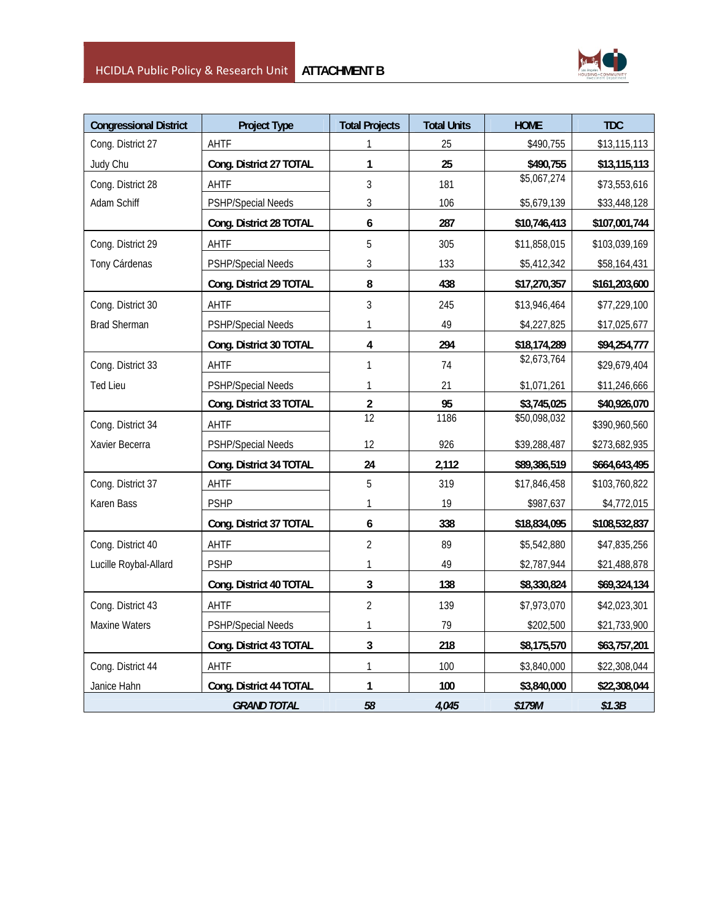

| <b>Congressional District</b> | <b>Project Type</b>       | <b>Total Projects</b> | <b>Total Units</b> | <b>HOME</b>  | <b>TDC</b>    |
|-------------------------------|---------------------------|-----------------------|--------------------|--------------|---------------|
| Cong. District 27             | AHTF                      | 1                     | 25                 | \$490,755    | \$13,115,113  |
| Judy Chu                      | Cong. District 27 TOTAL   | 1                     | 25                 | \$490,755    | \$13,115,113  |
| Cong. District 28             | AHTF                      | 3                     | 181                | \$5,067,274  | \$73,553,616  |
| Adam Schiff                   | PSHP/Special Needs        | 3                     | 106                | \$5,679,139  | \$33,448,128  |
|                               | Cong. District 28 TOTAL   | 6                     | 287                | \$10,746,413 | \$107,001,744 |
| Cong. District 29             | AHTF                      | 5                     | 305                | \$11,858,015 | \$103,039,169 |
| Tony Cárdenas                 | PSHP/Special Needs        | 3                     | 133                | \$5,412,342  | \$58,164,431  |
|                               | Cong. District 29 TOTAL   | 8                     | 438                | \$17,270,357 | \$161,203,600 |
| Cong. District 30             | AHTF                      | 3                     | 245                | \$13,946,464 | \$77,229,100  |
| <b>Brad Sherman</b>           | <b>PSHP/Special Needs</b> | 1                     | 49                 | \$4,227,825  | \$17,025,677  |
|                               | Cong. District 30 TOTAL   | 4                     | 294                | \$18,174,289 | \$94,254,777  |
| Cong. District 33             | AHTF                      | 1                     | 74                 | \$2,673,764  | \$29,679,404  |
| <b>Ted Lieu</b>               | PSHP/Special Needs        | 1                     | 21                 | \$1,071,261  | \$11,246,666  |
|                               | Cong. District 33 TOTAL   | $\overline{2}$        | 95                 | \$3,745,025  | \$40,926,070  |
| Cong. District 34             | AHTF                      | 12                    | 1186               | \$50,098,032 | \$390,960,560 |
| Xavier Becerra                | PSHP/Special Needs        | 12                    | 926                | \$39,288,487 | \$273,682,935 |
|                               | Cong. District 34 TOTAL   | 24                    | 2,112              | \$89,386,519 | \$664,643,495 |
| Cong. District 37             | AHTF                      | 5                     | 319                | \$17,846,458 | \$103,760,822 |
| Karen Bass                    | <b>PSHP</b>               | 1                     | 19                 | \$987,637    | \$4,772,015   |
|                               | Cong. District 37 TOTAL   | 6                     | 338                | \$18,834,095 | \$108,532,837 |
| Cong. District 40             | AHTF                      | $\overline{2}$        | 89                 | \$5,542,880  | \$47,835,256  |
| Lucille Roybal-Allard         | <b>PSHP</b>               | 1                     | 49                 | \$2,787,944  | \$21,488,878  |
|                               | Cong. District 40 TOTAL   | 3                     | 138                | \$8,330,824  | \$69,324,134  |
| Cong. District 43             | AHTF                      | $\overline{2}$        | 139                | \$7,973,070  | \$42,023,301  |
| <b>Maxine Waters</b>          | PSHP/Special Needs        | 1                     | 79                 | \$202,500    | \$21,733,900  |
|                               | Cong. District 43 TOTAL   | 3                     | 218                | \$8,175,570  | \$63,757,201  |
| Cong. District 44             | AHTF                      | 1                     | 100                | \$3,840,000  | \$22,308,044  |
| Janice Hahn                   | Cong. District 44 TOTAL   | 1                     | 100                | \$3,840,000  | \$22,308,044  |
|                               | 58                        | 4,045                 | \$179M             | \$1.3B       |               |